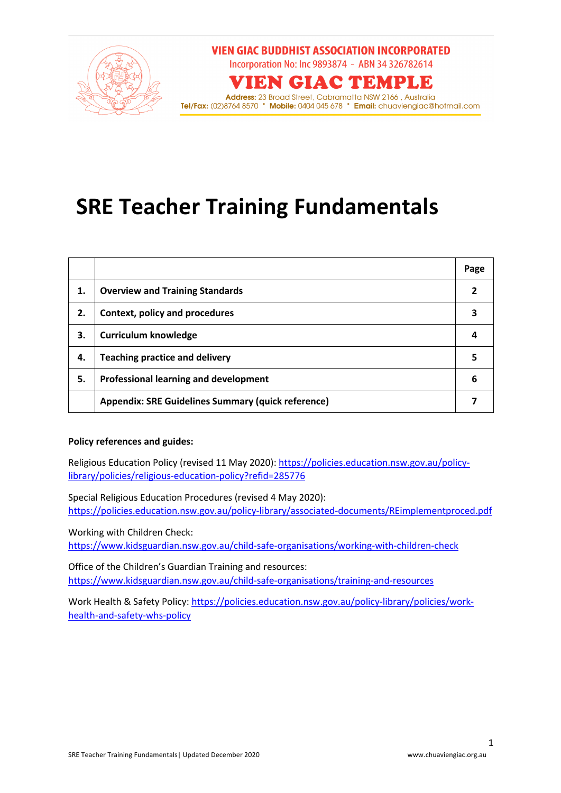

# **SRE Teacher Training Fundamentals**

|    |                                                           | Page |
|----|-----------------------------------------------------------|------|
| 1. | <b>Overview and Training Standards</b>                    |      |
| 2. | Context, policy and procedures                            |      |
| 3. | <b>Curriculum knowledge</b>                               |      |
| 4. | <b>Teaching practice and delivery</b>                     |      |
| 5. | Professional learning and development                     | 6    |
|    | <b>Appendix: SRE Guidelines Summary (quick reference)</b> |      |

#### **Policy references and guides:**

Religious Education Policy (revised 11 May 2020): https://policies.education.nsw.gov.au/policylibrary/policies/religious-education-policy?refid=285776

Special Religious Education Procedures (revised 4 May 2020): https://policies.education.nsw.gov.au/policy-library/associated-documents/REimplementproced.pdf

Working with Children Check:

https://www.kidsguardian.nsw.gov.au/child-safe-organisations/working-with-children-check

Office of the Children's Guardian Training and resources: https://www.kidsguardian.nsw.gov.au/child-safe-organisations/training-and-resources

Work Health & Safety Policy: https://policies.education.nsw.gov.au/policy-library/policies/workhealth-and-safety-whs-policy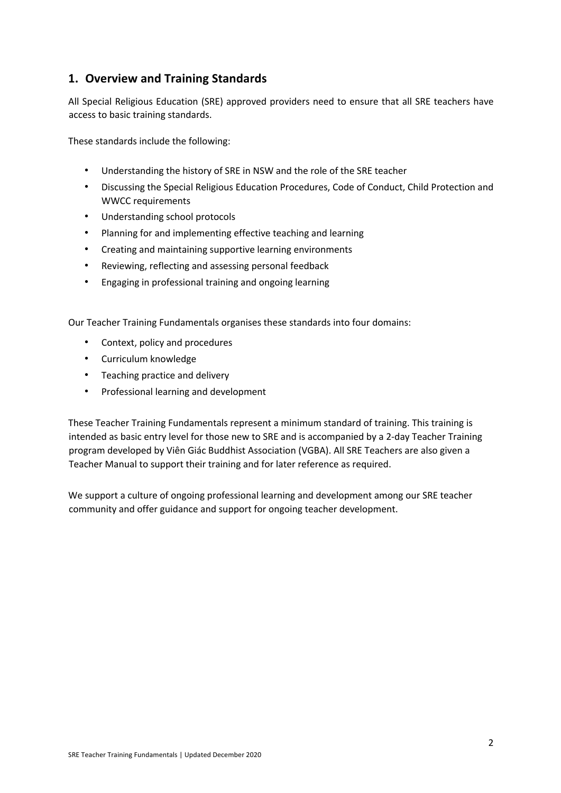### **1. Overview and Training Standards**

All Special Religious Education (SRE) approved providers need to ensure that all SRE teachers have access to basic training standards.

These standards include the following:

- Understanding the history of SRE in NSW and the role of the SRE teacher
- Discussing the Special Religious Education Procedures, Code of Conduct, Child Protection and WWCC requirements
- Understanding school protocols
- Planning for and implementing effective teaching and learning
- Creating and maintaining supportive learning environments
- Reviewing, reflecting and assessing personal feedback
- Engaging in professional training and ongoing learning

Our Teacher Training Fundamentals organises these standards into four domains:

- Context, policy and procedures
- Curriculum knowledge
- Teaching practice and delivery
- Professional learning and development

These Teacher Training Fundamentals represent a minimum standard of training. This training is intended as basic entry level for those new to SRE and is accompanied by a 2-day Teacher Training program developed by Viên Giác Buddhist Association (VGBA). All SRE Teachers are also given a Teacher Manual to support their training and for later reference as required.

We support a culture of ongoing professional learning and development among our SRE teacher community and offer guidance and support for ongoing teacher development.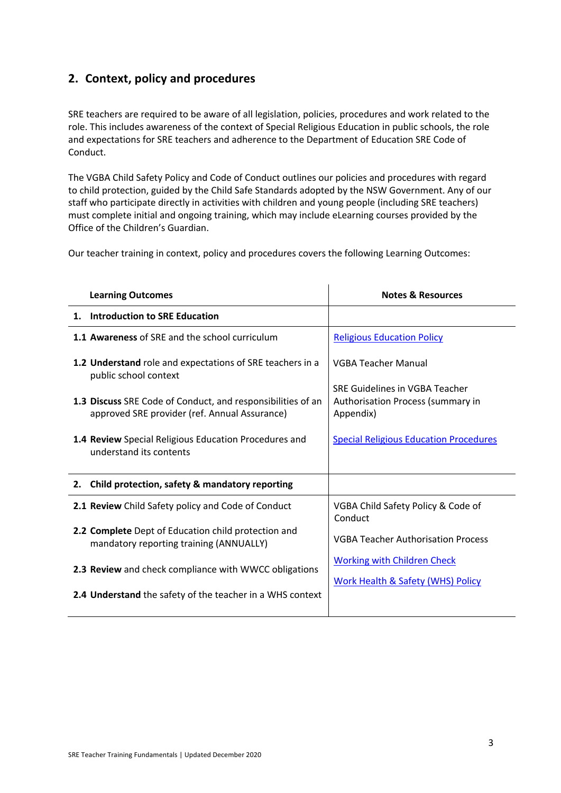### **2. Context, policy and procedures**

SRE teachers are required to be aware of all legislation, policies, procedures and work related to the role. This includes awareness of the context of Special Religious Education in public schools, the role and expectations for SRE teachers and adherence to the Department of Education SRE Code of Conduct.

The VGBA Child Safety Policy and Code of Conduct outlines our policies and procedures with regard to child protection, guided by the Child Safe Standards adopted by the NSW Government. Any of our staff who participate directly in activities with children and young people (including SRE teachers) must complete initial and ongoing training, which may include eLearning courses provided by the Office of the Children's Guardian.

Our teacher training in context, policy and procedures covers the following Learning Outcomes:

| <b>Learning Outcomes</b>                                                                                     | <b>Notes &amp; Resources</b>                                                     |
|--------------------------------------------------------------------------------------------------------------|----------------------------------------------------------------------------------|
| 1. Introduction to SRE Education                                                                             |                                                                                  |
| 1.1 Awareness of SRE and the school curriculum                                                               | <b>Religious Education Policy</b>                                                |
| 1.2 Understand role and expectations of SRE teachers in a<br>public school context                           | <b>VGBA Teacher Manual</b>                                                       |
| 1.3 Discuss SRE Code of Conduct, and responsibilities of an<br>approved SRE provider (ref. Annual Assurance) | SRE Guidelines in VGBA Teacher<br>Authorisation Process (summary in<br>Appendix) |
| <b>1.4 Review</b> Special Religious Education Procedures and<br>understand its contents                      | <b>Special Religious Education Procedures</b>                                    |
| Child protection, safety & mandatory reporting<br>2.                                                         |                                                                                  |
| 2.1 Review Child Safety policy and Code of Conduct                                                           | VGBA Child Safety Policy & Code of<br>Conduct                                    |
| 2.2 Complete Dept of Education child protection and<br>mandatory reporting training (ANNUALLY)               | <b>VGBA Teacher Authorisation Process</b>                                        |
| 2.3 Review and check compliance with WWCC obligations                                                        | <b>Working with Children Check</b>                                               |
| 2.4 Understand the safety of the teacher in a WHS context                                                    | <b>Work Health &amp; Safety (WHS) Policy</b>                                     |
|                                                                                                              |                                                                                  |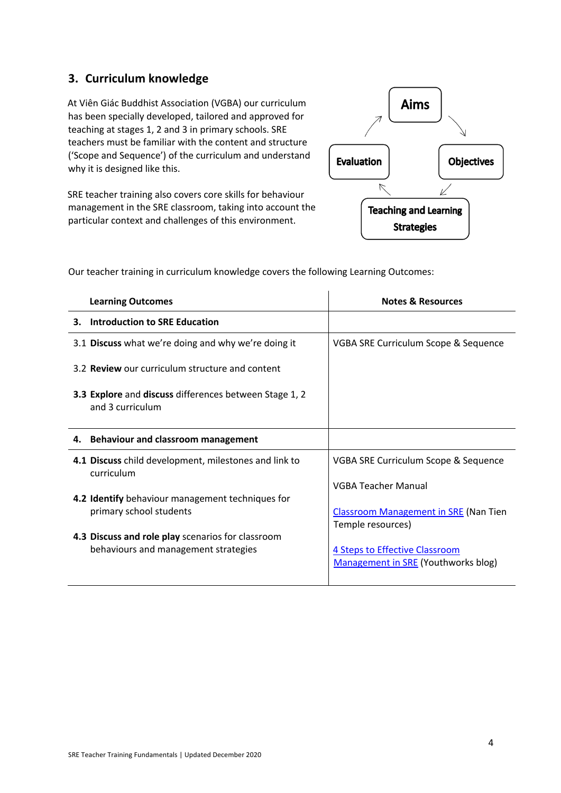#### **3. Curriculum knowledge**

At Viên Giác Buddhist Association (VGBA) our curriculum has been specially developed, tailored and approved for teaching at stages 1, 2 and 3 in primary schools. SRE teachers must be familiar with the content and structure ('Scope and Sequence') of the curriculum and understand why it is designed like this.

SRE teacher training also covers core skills for behaviour management in the SRE classroom, taking into account the particular context and challenges of this environment.



| <b>Learning Outcomes</b>                                                   | <b>Notes &amp; Resources</b>                 |
|----------------------------------------------------------------------------|----------------------------------------------|
| <b>Introduction to SRE Education</b><br>З.                                 |                                              |
| 3.1 Discuss what we're doing and why we're doing it                        | VGBA SRE Curriculum Scope & Sequence         |
| 3.2 Review our curriculum structure and content                            |                                              |
| 3.3 Explore and discuss differences between Stage 1, 2<br>and 3 curriculum |                                              |
| 4. Behaviour and classroom management                                      |                                              |
| 4.1 Discuss child development, milestones and link to<br>curriculum        | VGBA SRE Curriculum Scope & Sequence         |
|                                                                            | <b>VGBA Teacher Manual</b>                   |
| 4.2 Identify behaviour management techniques for                           |                                              |
| primary school students                                                    | <b>Classroom Management in SRE (Nan Tien</b> |
|                                                                            | Temple resources)                            |
| 4.3 Discuss and role play scenarios for classroom                          |                                              |
| behaviours and management strategies                                       | 4 Steps to Effective Classroom               |
|                                                                            | Management in SRE (Youthworks blog)          |

Our teacher training in curriculum knowledge covers the following Learning Outcomes: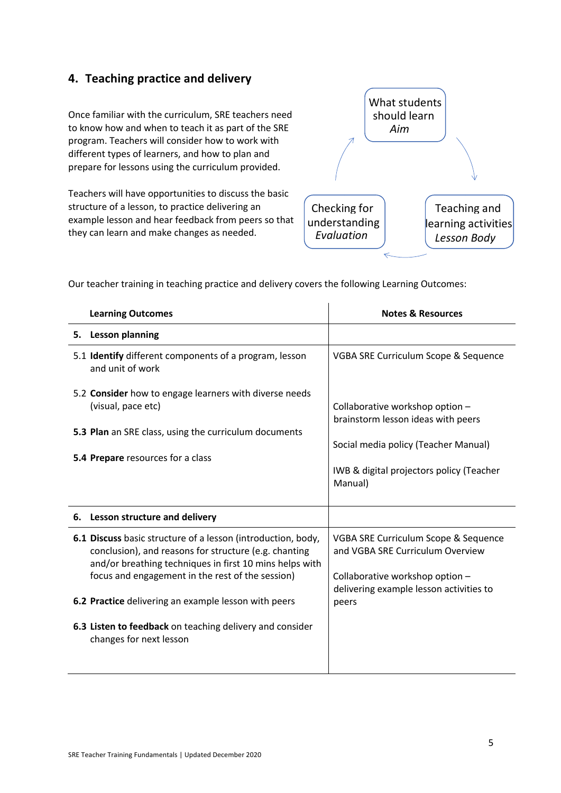### **4. Teaching practice and delivery**

Once familiar with the curriculum, SRE teachers need to know how and when to teach it as part of the SRE program. Teachers will consider how to work with different types of learners, and how to plan and prepare for lessons using the curriculum provided.

Teachers will have opportunities to discuss the basic structure of a lesson, to practice delivering an example lesson and hear feedback from peers so that they can learn and make changes as needed.



Our teacher training in teaching practice and delivery covers the following Learning Outcomes:

| <b>Learning Outcomes</b>                                                                                                                                                                                                                                                                     | <b>Notes &amp; Resources</b>                                                                                                                                         |
|----------------------------------------------------------------------------------------------------------------------------------------------------------------------------------------------------------------------------------------------------------------------------------------------|----------------------------------------------------------------------------------------------------------------------------------------------------------------------|
| <b>Lesson planning</b><br>5.                                                                                                                                                                                                                                                                 |                                                                                                                                                                      |
| 5.1 Identify different components of a program, lesson<br>and unit of work                                                                                                                                                                                                                   | VGBA SRE Curriculum Scope & Sequence                                                                                                                                 |
| 5.2 Consider how to engage learners with diverse needs<br>(visual, pace etc)<br>5.3 Plan an SRE class, using the curriculum documents<br>5.4 Prepare resources for a class                                                                                                                   | Collaborative workshop option -<br>brainstorm lesson ideas with peers<br>Social media policy (Teacher Manual)<br>IWB & digital projectors policy (Teacher<br>Manual) |
| 6. Lesson structure and delivery                                                                                                                                                                                                                                                             |                                                                                                                                                                      |
| 6.1 Discuss basic structure of a lesson (introduction, body,<br>conclusion), and reasons for structure (e.g. chanting<br>and/or breathing techniques in first 10 mins helps with<br>focus and engagement in the rest of the session)<br>6.2 Practice delivering an example lesson with peers | VGBA SRE Curriculum Scope & Sequence<br>and VGBA SRE Curriculum Overview<br>Collaborative workshop option -<br>delivering example lesson activities to<br>peers      |
| 6.3 Listen to feedback on teaching delivery and consider<br>changes for next lesson                                                                                                                                                                                                          |                                                                                                                                                                      |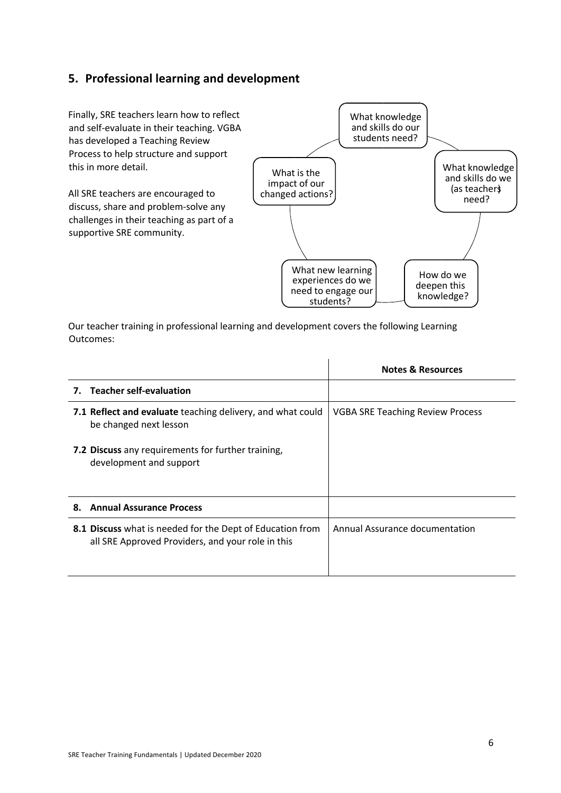#### **5. Professional learning and development**

Finally, SRE teachers learn how to reflect and self-evaluate in their teaching. VGBA has developed a Teaching Review Process to help structure and support this in more detail.

All SRE teachers are encouraged to discuss, share and problem-solve any challenges in their teaching as part of a supportive SRE community.



Our teacher training in professional learning and development covers the following Learning Outcomes:

|                                                                                                                | <b>Notes &amp; Resources</b>            |
|----------------------------------------------------------------------------------------------------------------|-----------------------------------------|
| 7. Teacher self-evaluation                                                                                     |                                         |
| 7.1 Reflect and evaluate teaching delivery, and what could<br>be changed next lesson                           | <b>VGBA SRE Teaching Review Process</b> |
| 7.2 Discuss any requirements for further training,<br>development and support                                  |                                         |
| <b>Annual Assurance Process</b><br>8.                                                                          |                                         |
| 8.1 Discuss what is needed for the Dept of Education from<br>all SRE Approved Providers, and your role in this | Annual Assurance documentation          |